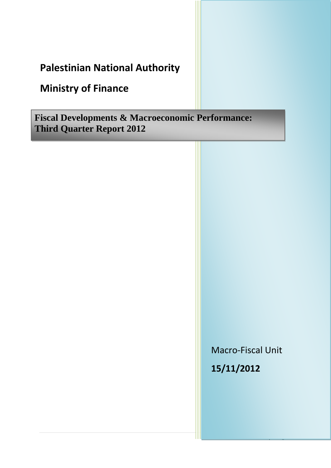## **Palestinian National Authority**

# **Ministry of Finance**

**Fiscal Developments & Macroeconomic Performance: Third Quarter Report 2012**

> Macro-Fiscal Unit **15/11/2012**

> > 1 | P a g e a g e a g e a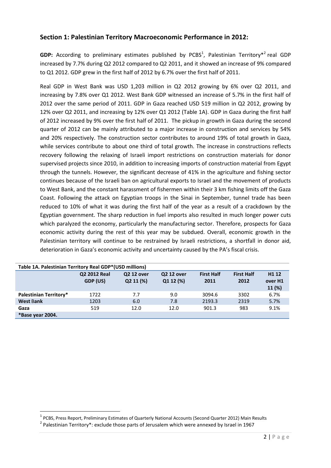### **Section 1: Palestinian Territory Macroeconomic Performance in 2012:**

GDP: According to preliminary estimates published by PCBS<sup>1</sup>, Palestinian Territory<sup>\*2</sup> real GDP increased by 7.7% during Q2 2012 compared to Q2 2011, and it showed an increase of 9% compared to Q1 2012. GDP grew in the first half of 2012 by 6.7% over the first half of 2011.

Real GDP in West Bank was USD 1,203 million in Q2 2012 growing by 6% over Q2 2011, and increasing by 7.8% over Q1 2012. West Bank GDP witnessed an increase of 5.7% in the first half of 2012 over the same period of 2011. GDP in Gaza reached USD 519 million in Q2 2012, growing by 12% over Q2 2011, and increasing by 12% over Q1 2012 (Table 1A). GDP in Gaza during the first half of 2012 increased by 9% over the first half of 2011. The pickup in growth in Gaza during the second quarter of 2012 can be mainly attributed to a major increase in construction and services by 54% and 20% respectively. The construction sector contributes to around 19% of total growth in Gaza, while services contribute to about one third of total growth. The increase in constructions reflects recovery following the relaxing of Israeli import restrictions on construction materials for donor supervised projects since 2010, in addition to increasing imports of construction material from Egypt through the tunnels. However, the significant decrease of 41% in the agriculture and fishing sector continues because of the Israeli ban on agricultural exports to Israel and the movement of products to West Bank, and the constant harassment of fishermen within their 3 km fishing limits off the Gaza Coast. Following the attack on Egyptian troops in the Sinai in September, tunnel trade has been reduced to 10% of what it was during the first half of the year as a result of a crackdown by the Egyptian government. The sharp reduction in fuel imports also resulted in much longer power cuts which paralyzed the economy, particularly the manufacturing sector. Therefore, prospects for Gaza economic activity during the rest of this year may be subdued. Overall, economic growth in the Palestinian territory will continue to be restrained by Israeli restrictions, a shortfall in donor aid, deterioration in Gaza's economic activity and uncertainty caused by the PA's fiscal crisis.

| Table 1A. Palestinian Territory Real GDP*(USD millions) |                          |                                |                                |                           |                           |                                        |  |  |
|---------------------------------------------------------|--------------------------|--------------------------------|--------------------------------|---------------------------|---------------------------|----------------------------------------|--|--|
|                                                         | Q2 2012 Real<br>GDP (US) | <b>Q2 12 over</b><br>Q2 11 (%) | <b>Q2 12 over</b><br>Q1 12 (%) | <b>First Half</b><br>2011 | <b>First Half</b><br>2012 | H <sub>1</sub> 12<br>over H1<br>11 (%) |  |  |
| <b>Palestinian Territory*</b>                           | 1722                     | 7.7                            | 9.0                            | 3094.6                    | 3302                      | 6.7%                                   |  |  |
| <b>West Bank</b>                                        | 1203                     | 6.0                            | 7.8                            | 2193.3                    | 2319                      | 5.7%                                   |  |  |
| Gaza                                                    | 519                      | 12.0                           | 12.0                           | 901.3                     | 983                       | 9.1%                                   |  |  |
| *Base year 2004.                                        |                          |                                |                                |                           |                           |                                        |  |  |

 $\overline{\phantom{a}}$ 

<sup>&</sup>lt;sup>1</sup> PCBS, Press Report, Preliminary Estimates of Quarterly National Accounts (Second Quarter 2012) Main Results

 $2$  Palestinian Territory\*: exclude those parts of Jerusalem which were annexed by Israel in 1967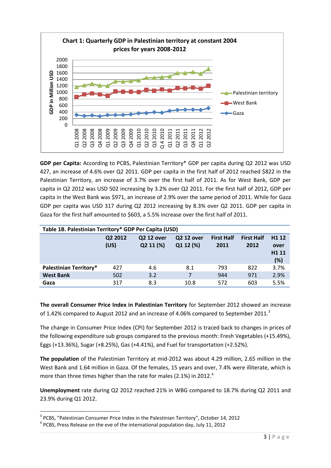

**GDP per Capita:** According to PCBS, Palestinian Territory\* GDP per capita during Q2 2012 was USD 427, an increase of 4.6% over Q2 2011. GDP per capita in the first half of 2012 reached \$822 in the Palestinian Territory, an increase of 3.7% over the first half of 2011. As for West Bank, GDP per capita in Q2 2012 was USD 502 increasing by 3.2% over Q2 2011. For the first half of 2012, GDP per capita in the West Bank was \$971, an increase of 2.9% over the same period of 2011. While for Gaza GDP per capita was USD 317 during Q2 2012 increasing by 8.3% over Q2 2011. GDP per capita in Gaza for the first half amounted to \$603, a 5.5% increase over the first half of 2011.

| Table 1B. Palestinian Territory* GDP Per Capita (USD) |                 |                                |                                |                           |                           |                                                      |  |
|-------------------------------------------------------|-----------------|--------------------------------|--------------------------------|---------------------------|---------------------------|------------------------------------------------------|--|
|                                                       | Q2 2012<br>(US) | <b>Q2 12 over</b><br>Q2 11 (%) | <b>Q2 12 over</b><br>Q1 12 (%) | <b>First Half</b><br>2011 | <b>First Half</b><br>2012 | H <sub>1</sub> 12<br>over<br>H <sub>111</sub><br>(%) |  |
| <b>Palestinian Territory*</b>                         | 427             | 4.6                            | 8.1                            | 793                       | 822                       | 3.7%                                                 |  |
| <b>West Bank</b>                                      | 502             | 3.2                            |                                | 944                       | 971                       | 2.9%                                                 |  |
| Gaza                                                  | 317             | 8.3                            | 10.8                           | 572                       | 603                       | 5.5%                                                 |  |

**The overall Consumer Price Index in Palestinian Territory** for September 2012 showed an increase of 1.42% compared to August 2012 and an increase of 4.06% compared to September 2011. $3$ 

The change in Consumer Price Index (CPI) for September 2012 is traced back to changes in prices of the following expenditure sub groups compared to the previous month: Fresh Vegetables (+15.49%), Eggs (+13.36%), Sugar (+8.25%), Gas (+4.41%), and Fuel for transportation (+2.52%).

**The population** of the Palestinian Territory at mid-2012 was about 4.29 million, 2.65 million in the West Bank and 1.64 million in Gaza. Of the females, 15 years and over, 7.4% were illiterate, which is more than three times higher than the rate for males (2.1%) in 2012.<sup>4</sup>

**Unemployment** rate during Q2 2012 reached 21% in WBG compared to 18.7% during Q2 2011 and 23.9% during Q1 2012.

 $\overline{\phantom{a}}$ 

<sup>&</sup>lt;sup>3</sup> PCBS, "Palestinian Consumer Price Index in the Palestinian Territory", October 14, 2012

<sup>&</sup>lt;sup>4</sup> PCBS, Press Release on the eve of the international population day, July 11, 2012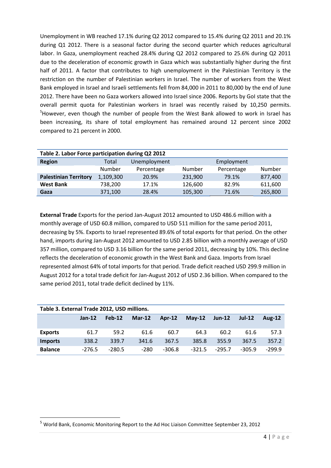Unemployment in WB reached 17.1% during Q2 2012 compared to 15.4% during Q2 2011 and 20.1% during Q1 2012. There is a seasonal factor during the second quarter which reduces agricultural labor. In Gaza, unemployment reached 28.4% during Q2 2012 compared to 25.6% during Q2 2011 due to the deceleration of economic growth in Gaza which was substantially higher during the first half of 2011. A factor that contributes to high unemployment in the Palestinian Territory is the restriction on the number of Palestinian workers in Israel. The number of workers from the West Bank employed in Israel and Israeli settlements fell from 84,000 in 2011 to 80,000 by the end of June 2012. There have been no Gaza workers allowed into Israel since 2006. Reports by GoI state that the overall permit quota for Palestinian workers in Israel was recently raised by 10,250 permits. <sup>5</sup>However, even though the number of people from the West Bank allowed to work in Israel has been increasing, its share of total employment has remained around 12 percent since 2002 compared to 21 percent in 2000.

| Table 2. Labor Force participation during Q2 2012 |           |              |         |            |         |  |  |
|---------------------------------------------------|-----------|--------------|---------|------------|---------|--|--|
| <b>Region</b>                                     | Total     | Unemployment |         | Employment |         |  |  |
|                                                   | Number    | Percentage   | Number  | Percentage | Number  |  |  |
| <b>Palestinian Territory</b>                      | 1,109,300 | 20.9%        | 231,900 | 79.1%      | 877,400 |  |  |
| <b>West Bank</b>                                  | 738,200   | 17.1%        | 126,600 | 82.9%      | 611,600 |  |  |
| Gaza                                              | 371,100   | 28.4%        | 105,300 | 71.6%      | 265,800 |  |  |

**External Trade** Exports for the period Jan-August 2012 amounted to USD 486.6 million with a monthly average of USD 60.8 million, compared to USD 511 million for the same period 2011, decreasing by 5%. Exports to Israel represented 89.6% of total exports for that period. On the other hand, imports during Jan-August 2012 amounted to USD 2.85 billion with a monthly average of USD 357 million, compared to USD 3.16 billion for the same period 2011, decreasing by 10%. This decline reflects the deceleration of economic growth in the West Bank and Gaza. Imports from Israel represented almost 64% of total imports for that period. Trade deficit reached USD 299.9 million in August 2012 for a total trade deficit for Jan-August 2012 of USD 2.36 billion. When compared to the same period 2011, total trade deficit declined by 11%.

| Table 3. External Trade 2012, USD millions. |          |          |          |          |          |          |          |               |
|---------------------------------------------|----------|----------|----------|----------|----------|----------|----------|---------------|
|                                             | $Jan-12$ | Feb-12   | $Mar-12$ | $Ar-12$  | $Mav-12$ | $Jun-12$ | $Jul-12$ | <b>Aug-12</b> |
|                                             |          |          |          |          |          |          |          |               |
| <b>Exports</b>                              | 61.7     | 59.2     | 61.6     | 60.7     | 64.3     | 60.2     | 61.6     | 57.3          |
| <b>Imports</b>                              | 338.2    | 339.7    | 341.6    | 367.5    | 385.8    | 355.9    | 367.5    | 357.2         |
| <b>Balance</b>                              | $-276.5$ | $-280.5$ | $-280$   | $-306.8$ | $-321.5$ | $-295.7$ | $-305.9$ | $-299.9$      |

**.** 

<sup>5</sup> World Bank, Economic Monitoring Report to the Ad Hoc Liaison Committee September 23, 2012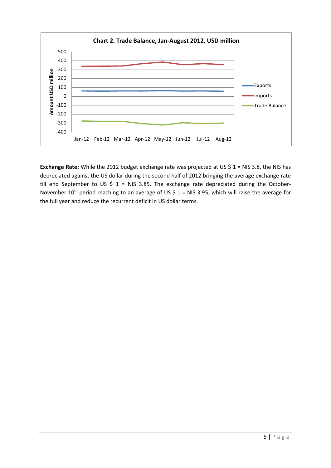

Exchange Rate: While the 2012 budget exchange rate was projected at US \$ 1 = NIS 3.8, the NIS has depreciated against the US dollar during the second half of 2012 bringing the average exchange rate till end September to US  $\frac{2}{3}$  1 = NIS 3.85. The exchange rate depreciated during the October-November 10<sup>th</sup> period reaching to an average of US \$ 1 = NIS 3.95, which will raise the average for the full year and reduce the recurrent deficit in US dollar terms.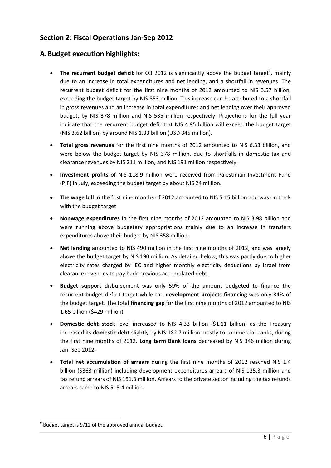## **Section 2: Fiscal Operations Jan-Sep 2012**

## **A.Budget execution highlights:**

- The recurrent budget deficit for Q3 2012 is significantly above the budget target<sup>6</sup>, mainly due to an increase in total expenditures and net lending, and a shortfall in revenues. The recurrent budget deficit for the first nine months of 2012 amounted to NIS 3.57 billion, exceeding the budget target by NIS 853 million. This increase can be attributed to a shortfall in gross revenues and an increase in total expenditures and net lending over their approved budget, by NIS 378 million and NIS 535 million respectively. Projections for the full year indicate that the recurrent budget deficit at NIS 4.95 billion will exceed the budget target (NIS 3.62 billion) by around NIS 1.33 billion (USD 345 million).
- **Total gross revenues** for the first nine months of 2012 amounted to NIS 6.33 billion, and were below the budget target by NIS 378 million, due to shortfalls in domestic tax and clearance revenues by NIS 211 million, and NIS 191 million respectively.
- **Investment profits** of NIS 118.9 million were received from Palestinian Investment Fund (PIF) in July, exceeding the budget target by about NIS 24 million.
- **The wage bill** in the first nine months of 2012 amounted to NIS 5.15 billion and was on track with the budget target.
- **Nonwage expenditures** in the first nine months of 2012 amounted to NIS 3.98 billion and were running above budgetary appropriations mainly due to an increase in transfers expenditures above their budget by NIS 358 million.
- **Net lending** amounted to NIS 490 million in the first nine months of 2012, and was largely above the budget target by NIS 190 million. As detailed below, this was partly due to higher electricity rates charged by IEC and higher monthly electricity deductions by Israel from clearance revenues to pay back previous accumulated debt.
- **Budget support** disbursement was only 59% of the amount budgeted to finance the recurrent budget deficit target while the **development projects financing** was only 34% of the budget target. The total **financing gap** for the first nine months of 2012 amounted to NIS 1.65 billion (\$429 million).
- **Domestic debt stock** level increased to NIS 4.33 billion (\$1.11 billion) as the Treasury increased its **domestic debt** slightly by NIS 182.7 million mostly to commercial banks, during the first nine months of 2012. **Long term Bank loans** decreased by NIS 346 million during Jan- Sep 2012.
- **Total net accumulation of arrears** during the first nine months of 2012 reached NIS 1.4 billion (\$363 million) including development expenditures arrears of NIS 125.3 million and tax refund arrears of NIS 151.3 million. Arrears to the private sector including the tax refunds arrears came to NIS 515.4 million.

**.** 

 $<sup>6</sup>$  Budget target is 9/12 of the approved annual budget.</sup>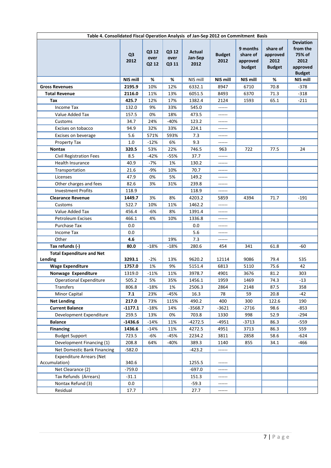| Table 4. Consolidated Fiscal Operation Analysis of Jan-Sep 2012 on Commitment Basis |                        |                        |                        |                           |                       |                                            |                                               |                                                                             |
|-------------------------------------------------------------------------------------|------------------------|------------------------|------------------------|---------------------------|-----------------------|--------------------------------------------|-----------------------------------------------|-----------------------------------------------------------------------------|
|                                                                                     | Q <sub>3</sub><br>2012 | Q3 12<br>over<br>Q2 12 | Q3 12<br>over<br>Q3 11 | Actual<br>Jan-Sep<br>2012 | <b>Budget</b><br>2012 | 9 months<br>share of<br>approved<br>budget | share of<br>approved<br>2012<br><b>Budget</b> | <b>Deviation</b><br>from the<br>75% of<br>2012<br>approved<br><b>Budget</b> |
|                                                                                     | <b>NIS mill</b>        | %                      | %                      | NIS mill                  | <b>NIS mill</b>       | NIS mill                                   | %                                             | NIS mill                                                                    |
| <b>Gross Revenues</b>                                                               | 2195.9                 | 10%                    | 12%                    | 6332.1                    | 8947                  | 6710                                       | 70.8                                          | $-378$                                                                      |
| <b>Total Revenue</b>                                                                | 2116.0                 | 11%                    | 13%                    | 6051.5                    | 8493                  | 6370                                       | 71.3                                          | $-318$                                                                      |
| Tax                                                                                 | 425.7                  | 12%                    | 17%                    | 1382.4                    | 2124                  | 1593                                       | 65.1                                          | $-211$                                                                      |
| Income Tax                                                                          | 132.0                  | 9%                     | 33%                    | 545.0                     |                       |                                            |                                               |                                                                             |
| Value Added Tax                                                                     | 157.5                  | 0%                     | 18%                    | 473.5                     | ------                |                                            |                                               |                                                                             |
| Customs                                                                             | 34.7                   | 24%                    | $-40%$                 | 123.2                     | ------                |                                            |                                               |                                                                             |
| Excises on tobacco                                                                  | 94.9                   | 32%                    | 33%                    | 224.1                     |                       |                                            |                                               |                                                                             |
| Excises on beverage                                                                 | 5.6                    | 571%                   | 593%                   | 7.3                       | ------                |                                            |                                               |                                                                             |
| Property Tax                                                                        | 1.0                    | $-12%$                 | 6%                     | 9.3                       | ------                |                                            |                                               |                                                                             |
| <b>Nontax</b>                                                                       | 320.5                  | 53%                    | 22%                    | 746.5                     | 963                   | 722                                        | 77.5                                          | 24                                                                          |
| <b>Civil Registration Fees</b>                                                      | 8.5                    | $-42%$                 | -55%                   | 37.7                      | ------                |                                            |                                               |                                                                             |
| <b>Health Insurance</b>                                                             | 40.9                   | $-7%$                  | 1%                     | 130.2                     | ------                |                                            |                                               |                                                                             |
| Transportation                                                                      | 21.6                   | $-9%$                  | 10%                    | 70.7                      | ------                |                                            |                                               |                                                                             |
| Licenses                                                                            | 47.9                   | 0%                     | 5%                     | 149.2                     | ------                |                                            |                                               |                                                                             |
| Other charges and fees                                                              | 82.6                   | 3%                     | 31%                    | 239.8                     | ------                |                                            |                                               |                                                                             |
| <b>Investment Profits</b>                                                           | 118.9                  |                        |                        | 118.9                     | ------                |                                            |                                               |                                                                             |
| <b>Clearance Revenue</b>                                                            | 1449.7                 | 3%                     | 8%                     | 4203.2                    | 5859                  | 4394                                       | 71.7                                          | $-191$                                                                      |
| Customs                                                                             | 522.7                  | 10%                    | 11%                    | 1462.2                    | ------                |                                            |                                               |                                                                             |
| Value Added Tax                                                                     | 456.4                  | $-6%$                  | 8%                     | 1391.4                    |                       |                                            |                                               |                                                                             |
| <b>Petroleum Excises</b>                                                            | 466.1                  | 4%                     | 10%                    | 1336.8                    | ------                |                                            |                                               |                                                                             |
| Purchase Tax                                                                        | 0.0                    |                        |                        | 0.0                       | ------                |                                            |                                               |                                                                             |
| <b>Income Tax</b>                                                                   | $0.0\,$                |                        |                        | 5.6                       | ------                |                                            |                                               |                                                                             |
| Other                                                                               | 4.6                    |                        | 19%                    | 7.3                       | ------                |                                            |                                               |                                                                             |
| Tax refunds (-)                                                                     | 80.0                   | $-18%$                 | $-18%$                 | 280.6                     | 454                   | 341                                        | 61.8                                          | -60                                                                         |
| <b>Total Expenditure and Net</b><br>Lending                                         | 3293.1                 | -2%                    | 13%                    | 9620.2                    | 12114                 | 9086                                       | 79.4                                          | 535                                                                         |
| <b>Wage Expenditure</b>                                                             | 1757.0                 | 1%                     | 9%                     | 5151.4                    | 6813                  | 5110                                       | 75.6                                          | 42                                                                          |
| Nonwage Expenditure                                                                 | 1319.0                 | $-11%$                 | 11%                    | 3978.7                    | 4901                  | 3676                                       | 81.2                                          | 303                                                                         |
| Operational Expenditure                                                             | 505.2                  | 5%                     | 35%                    | 1456.1                    | 1959                  | 1469                                       | 74.3                                          | $-13$                                                                       |
| Transfers                                                                           | 806.8                  | $-18%$                 | 1%                     | 2506.3                    | 2864                  | 2148                                       | 87.5                                          | 358                                                                         |
| Minor Capital                                                                       | 7.1                    | 23%                    | -45%                   | 16.3                      | 78                    | 59                                         | 20.8                                          | $-42$                                                                       |
| <b>Net Lending</b>                                                                  | 217.0                  | 73%                    | 115%                   | 490.2                     | 400                   | 300                                        | 122.6                                         | 190                                                                         |
| <b>Current Balance</b>                                                              | $-1177.1$              | $-18%$                 | 14%                    | -3568.7                   | $-3621$               | $-2716$                                    | 98.6                                          | $-853$                                                                      |
| Development Expenditure                                                             | 259.5                  | 13%                    | 0%                     | 703.8                     | 1330                  | 998                                        | 52.9                                          | -294                                                                        |
| <b>Balance</b>                                                                      | $-1436.6$              | $-14%$                 | 11%                    | -4272.5                   | $-4951$               | $-3713$                                    | 86.3                                          | -559                                                                        |
| <b>Financing</b>                                                                    | 1436.6                 | $-14%$                 | 11%                    | 4272.5                    | 4951                  | 3713                                       | 86.3                                          | 559                                                                         |
| <b>Budget Support</b>                                                               | 723.5                  | -6%                    | $-45%$                 | 2234.2                    | 3811                  | 2858                                       | 58.6                                          | $-624$                                                                      |
| Development Financing (1)                                                           | 208.8                  | 64%                    | $-40%$                 | 389.3                     | 1140                  | 855                                        | 34.1                                          | $-466$                                                                      |
| Net Domestic Bank Financing                                                         | $-582.0$               |                        |                        | $-423.2$                  | ------                |                                            |                                               |                                                                             |
| <b>Expenditure Arrears (Net</b><br>Accumulation)                                    | 340.6                  |                        |                        | 1255.5                    | ------                |                                            |                                               |                                                                             |
| Net Clearance (2)                                                                   | $-759.0$               |                        |                        | $-697.0$                  | ------                |                                            |                                               |                                                                             |
| Tax Refunds (Arrears)                                                               | $-31.1$                |                        |                        | 151.3                     | ------                |                                            |                                               |                                                                             |
| Nontax Refund (3)                                                                   | 0.0                    |                        |                        | $-59.3$                   | ------                |                                            |                                               |                                                                             |
| Residual                                                                            | 17.7                   |                        |                        | 27.7                      | ------                |                                            |                                               |                                                                             |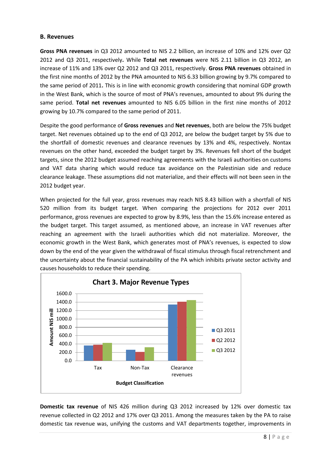#### **B. Revenues**

**Gross PNA revenues** in Q3 2012 amounted to NIS 2.2 billion, an increase of 10% and 12% over Q2 2012 and Q3 2011, respectively**.** While **Total net revenues** were NIS 2.11 billion in Q3 2012, an increase of 11% and 13% over Q2 2012 and Q3 2011, respectively. **Gross PNA revenues** obtained in the first nine months of 2012 by the PNA amounted to NIS 6.33 billion growing by 9.7% compared to the same period of 2011**.** This is in line with economic growth considering that nominal GDP growth in the West Bank, which is the source of most of PNA's revenues, amounted to about 9% during the same period. **Total net revenues** amounted to NIS 6.05 billion in the first nine months of 2012 growing by 10.7% compared to the same period of 2011.

Despite the good performance of **Gross revenues** and **Net revenues**, both are below the 75% budget target. Net revenues obtained up to the end of Q3 2012, are below the budget target by 5% due to the shortfall of domestic revenues and clearance revenues by 13% and 4%, respectively. Nontax revenues on the other hand, exceeded the budget target by 3%. Revenues fell short of the budget targets, since the 2012 budget assumed reaching agreements with the Israeli authorities on customs and VAT data sharing which would reduce tax avoidance on the Palestinian side and reduce clearance leakage. These assumptions did not materialize, and their effects will not been seen in the 2012 budget year.

When projected for the full year, gross revenues may reach NIS 8.43 billion with a shortfall of NIS 520 million from its budget target. When comparing the projections for 2012 over 2011 performance, gross revenues are expected to grow by 8.9%, less than the 15.6% increase entered as the budget target. This target assumed, as mentioned above, an increase in VAT revenues after reaching an agreement with the Israeli authorities which did not materialize. Moreover, the economic growth in the West Bank, which generates most of PNA's revenues, is expected to slow down by the end of the year given the withdrawal of fiscal stimulus through fiscal retrenchment and the uncertainty about the financial sustainability of the PA which inhibits private sector activity and causes households to reduce their spending.



**Domestic tax revenue** of NIS 426 million during Q3 2012 increased by 12% over domestic tax revenue collected in Q2 2012 and 17% over Q3 2011. Among the measures taken by the PA to raise domestic tax revenue was, unifying the customs and VAT departments together, improvements in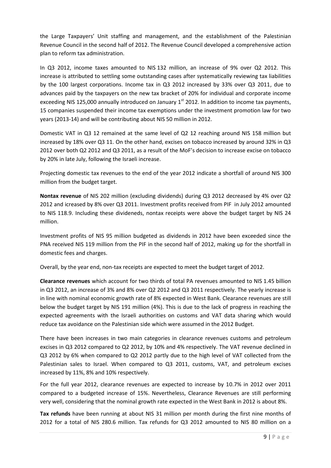the Large Taxpayers' Unit staffing and management, and the establishment of the Palestinian Revenue Council in the second half of 2012. The Revenue Council developed a comprehensive action plan to reform tax administration.

In Q3 2012, income taxes amounted to NIS 132 million, an increase of 9% over Q2 2012. This increase is attributed to settling some outstanding cases after systematically reviewing tax liabilities by the 100 largest corporations. Income tax in Q3 2012 increased by 33% over Q3 2011, due to advances paid by the taxpayers on the new tax bracket of 20% for individual and corporate income exceeding NIS 125,000 annually introduced on January  $1<sup>st</sup>$  2012. In addition to income tax payments, 15 companies suspended their income tax exemptions under the investment promotion law for two years (2013-14) and will be contributing about NIS 50 million in 2012.

Domestic VAT in Q3 12 remained at the same level of Q2 12 reaching around NIS 158 million but increased by 18% over Q3 11. On the other hand, excises on tobacco increased by around 32% in Q3 2012 over both Q2 2012 and Q3 2011, as a result of the MoF's decision to increase excise on tobacco by 20% in late July, following the Israeli increase.

Projecting domestic tax revenues to the end of the year 2012 indicate a shortfall of around NIS 300 million from the budget target.

**Nontax revenue** of NIS 202 million (excluding dividends) during Q3 2012 decreased by 4% over Q2 2012 and icreased by 8% over Q3 2011. Investment profits received from PIF in July 2012 amounted to NIS 118.9. Including these divideneds, nontax receipts were above the budget target by NIS 24 million.

Investment profits of NIS 95 million budgeted as dividends in 2012 have been exceeded since the PNA received NIS 119 million from the PIF in the second half of 2012, making up for the shortfall in domestic fees and charges.

Overall, by the year end, non-tax receipts are expected to meet the budget target of 2012.

**Clearance revenues** which account for two thirds of total PA revenues amounted to NIS 1.45 billion in Q3 2012, an increase of 3% and 8% over Q2 2012 and Q3 2011 respectively. The yearly increase is in line with nominal economic growth rate of 8% expected in West Bank. Clearance revenues are still below the budget target by NIS 191 million (4%). This is due to the lack of progress in reaching the expected agreements with the Israeli authorities on customs and VAT data sharing which would reduce tax avoidance on the Palestinian side which were assumed in the 2012 Budget.

There have been increases in two main categories in clearance revenues customs and petroleum excises in Q3 2012 compared to Q2 2012, by 10% and 4% respectively. The VAT revenue declined in Q3 2012 by 6% when compared to Q2 2012 partly due to the high level of VAT collected from the Palestinian sales to Israel. When compared to Q3 2011, customs, VAT, and petroleum excises increased by 11%, 8% and 10% respectively.

For the full year 2012, clearance revenues are expected to increase by 10.7% in 2012 over 2011 compared to a budgeted increase of 15%. Nevertheless, Clearance Revenues are still performing very well, considering that the nominal growth rate expected in the West Bank in 2012 is about 8%.

**Tax refunds** have been running at about NIS 31 million per month during the first nine months of 2012 for a total of NIS 280.6 million. Tax refunds for Q3 2012 amounted to NIS 80 million on a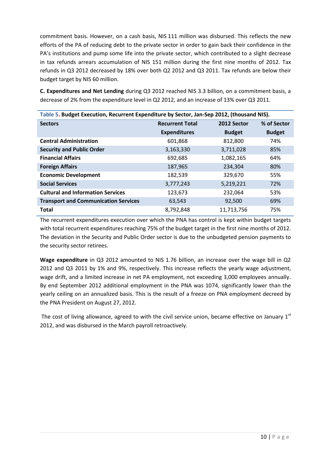commitment basis. However, on a cash basis, NIS 111 million was disbursed. This reflects the new efforts of the PA of reducing debt to the private sector in order to gain back their confidence in the PA's institutions and pump some life into the private sector, which contributed to a slight decrease in tax refunds arrears accumulation of NIS 151 million during the first nine months of 2012. Tax refunds in Q3 2012 decreased by 18% over both Q2 2012 and Q3 2011. Tax refunds are below their budget target by NIS 60 million.

**C. Expenditures and Net Lending** during Q3 2012 reached NIS 3.3 billion, on a commitment basis, a decrease of 2% from the expenditure level in Q2 2012, and an increase of 13% over Q3 2011.

| Table 5. Budget Execution, Recurrent Expenditure by Sector, Jan-Sep 2012, (thousand NIS). |                        |               |               |  |  |  |  |
|-------------------------------------------------------------------------------------------|------------------------|---------------|---------------|--|--|--|--|
| <b>Sectors</b>                                                                            | <b>Recurrent Total</b> | 2012 Sector   | % of Sector   |  |  |  |  |
|                                                                                           | <b>Expenditures</b>    | <b>Budget</b> | <b>Budget</b> |  |  |  |  |
| <b>Central Administration</b>                                                             | 601,868                | 812,800       | 74%           |  |  |  |  |
| <b>Security and Public Order</b>                                                          | 3,163,330              | 3,711,028     | 85%           |  |  |  |  |
| <b>Financial Affairs</b>                                                                  | 692,685                | 1,082,165     | 64%           |  |  |  |  |
| <b>Foreign Affairs</b>                                                                    | 187,965                | 234,304       | 80%           |  |  |  |  |
| <b>Economic Development</b>                                                               | 182,539                | 329,670       | 55%           |  |  |  |  |
| <b>Social Services</b>                                                                    | 3,777,243              | 5,219,221     | 72%           |  |  |  |  |
| <b>Cultural and Information Services</b>                                                  | 123,673                | 232,064       | 53%           |  |  |  |  |
| <b>Transport and Communication Services</b>                                               | 63,543                 | 92,500        | 69%           |  |  |  |  |
| <b>Total</b>                                                                              | 8,792,848              | 11,713,756    | 75%           |  |  |  |  |

The recurrent expenditures execution over which the PNA has control is kept within budget targets with total recurrent expenditures reaching 75% of the budget target in the first nine months of 2012. The deviation in the Security and Public Order sector is due to the unbudgeted pension payments to the security sector retirees.

**Wage expenditure** in Q3 2012 amounted to NIS 1.76 billion, an increase over the wage bill in Q2 2012 and Q3 2011 by 1% and 9%, respectively. This increase reflects the yearly wage adjustment, wage drift, and a limited increase in net PA employment, not exceeding 3,000 employees annually. By end September 2012 additional employment in the PNA was 1074, significantly lower than the yearly ceiling on an annualized basis. This is the result of a freeze on PNA employment decreed by the PNA President on August 27, 2012.

The cost of living allowance, agreed to with the civil service union, became effective on January  $1<sup>st</sup>$ 2012, and was disbursed in the March payroll retroactively.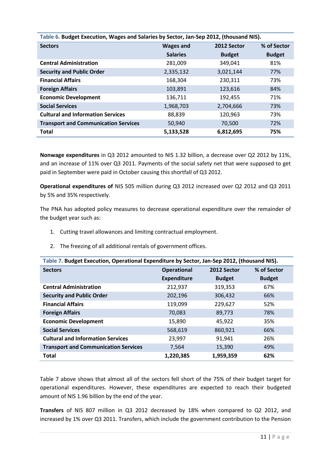| Table 6. Budget Execution, Wages and Salaries by Sector, Jan-Sep 2012, (thousand NIS). |                  |               |               |  |  |  |
|----------------------------------------------------------------------------------------|------------------|---------------|---------------|--|--|--|
| <b>Sectors</b>                                                                         | <b>Wages and</b> | 2012 Sector   | % of Sector   |  |  |  |
|                                                                                        | <b>Salaries</b>  | <b>Budget</b> | <b>Budget</b> |  |  |  |
| <b>Central Administration</b>                                                          | 281,009          | 349,041       | 81%           |  |  |  |
| <b>Security and Public Order</b>                                                       | 2,335,132        | 3,021,144     | 77%           |  |  |  |
| <b>Financial Affairs</b>                                                               | 168,304          | 230,311       | 73%           |  |  |  |
| <b>Foreign Affairs</b>                                                                 | 103,891          | 123,616       | 84%           |  |  |  |
| <b>Economic Development</b>                                                            | 136,711          | 192,455       | 71%           |  |  |  |
| <b>Social Services</b>                                                                 | 1,968,703        | 2,704,666     | 73%           |  |  |  |
| <b>Cultural and Information Services</b>                                               | 88,839           | 120,963       | 73%           |  |  |  |
| <b>Transport and Communication Services</b>                                            | 50,940           | 70,500        | 72%           |  |  |  |
| <b>Total</b>                                                                           | 5,133,528        | 6,812,695     | 75%           |  |  |  |

**Nonwage expenditures** in Q3 2012 amounted to NIS 1.32 billion, a decrease over Q2 2012 by 11%, and an increase of 11% over Q3 2011. Payments of the social safety net that were supposed to get paid in September were paid in October causing this shortfall of Q3 2012.

**Operational expenditures of** NIS 505 million during Q3 2012 increased over Q2 2012 and Q3 2011 by 5% and 35% respectively.

The PNA has adopted policy measures to decrease operational expenditure over the remainder of the budget year such as:

- 1. Cutting travel allowances and limiting contractual employment.
- 2. The freezing of all additional rentals of government offices.

| Table 7. Budget Execution, Operational Expenditure by Sector, Jan-Sep 2012, (thousand NIS). |                                   |               |               |  |  |  |
|---------------------------------------------------------------------------------------------|-----------------------------------|---------------|---------------|--|--|--|
| <b>Sectors</b>                                                                              | 2012 Sector<br><b>Operational</b> |               | % of Sector   |  |  |  |
|                                                                                             | <b>Expenditure</b>                | <b>Budget</b> | <b>Budget</b> |  |  |  |
| <b>Central Administration</b>                                                               | 212,937                           | 319,353       | 67%           |  |  |  |
| <b>Security and Public Order</b>                                                            | 202,196                           | 306,432       | 66%           |  |  |  |
| <b>Financial Affairs</b>                                                                    | 119,099                           | 229,627       | 52%           |  |  |  |
| <b>Foreign Affairs</b>                                                                      | 70,083                            | 89,773        | 78%           |  |  |  |
| <b>Economic Development</b>                                                                 | 15,890                            | 45,922        | 35%           |  |  |  |
| <b>Social Services</b>                                                                      | 568,619                           | 860,921       | 66%           |  |  |  |
| <b>Cultural and Information Services</b>                                                    | 23,997                            | 91,941        | 26%           |  |  |  |
| <b>Transport and Communication Services</b>                                                 | 7,564                             | 15,390        | 49%           |  |  |  |
| <b>Total</b>                                                                                | 1,220,385                         | 1,959,359     | 62%           |  |  |  |

Table 7 above shows that almost all of the sectors fell short of the 75% of their budget target for operational expenditures. However, these expenditures are expected to reach their budgeted amount of NIS 1.96 billion by the end of the year.

**Transfers** of NIS 807 million in Q3 2012 decreased by 18% when compared to Q2 2012, and increased by 1% over Q3 2011. Transfers, which include the government contribution to the Pension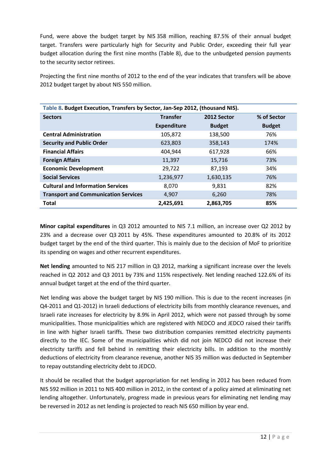Fund, were above the budget target by NIS 358 million, reaching 87.5% of their annual budget target. Transfers were particularly high for Security and Public Order, exceeding their full year budget allocation during the first nine months (Table 8), due to the unbudgeted pension payments to the security sector retirees.

Projecting the first nine months of 2012 to the end of the year indicates that transfers will be above 2012 budget target by about NIS 550 million.

| Table 8. Budget Execution, Transfers by Sector, Jan-Sep 2012, (thousand NIS). |                    |                            |               |  |  |  |
|-------------------------------------------------------------------------------|--------------------|----------------------------|---------------|--|--|--|
| <b>Sectors</b>                                                                | <b>Transfer</b>    | % of Sector<br>2012 Sector |               |  |  |  |
|                                                                               | <b>Expenditure</b> | <b>Budget</b>              | <b>Budget</b> |  |  |  |
| <b>Central Administration</b>                                                 | 105,872            | 138,500                    | 76%           |  |  |  |
| <b>Security and Public Order</b>                                              | 623,803            | 358,143                    | 174%          |  |  |  |
| <b>Financial Affairs</b>                                                      | 404,944            | 617,928                    | 66%           |  |  |  |
| <b>Foreign Affairs</b>                                                        | 11,397             | 15,716                     | 73%           |  |  |  |
| <b>Economic Development</b>                                                   | 29,722             | 87,193                     | 34%           |  |  |  |
| <b>Social Services</b>                                                        | 1,236,977          | 1,630,135                  | 76%           |  |  |  |
| <b>Cultural and Information Services</b>                                      | 8,070              | 9,831                      | 82%           |  |  |  |
| <b>Transport and Communication Services</b>                                   | 4,907              | 6,260                      | 78%           |  |  |  |
| <b>Total</b>                                                                  | 2,425,691          | 2,863,705                  | 85%           |  |  |  |

**Minor capital expenditures** in Q3 2012 amounted to NIS 7.1 million, an increase over Q2 2012 by 23% and a decrease over Q3 2011 by 45%. These expenditures amounted to 20.8% of its 2012 budget target by the end of the third quarter. This is mainly due to the decision of MoF to prioritize its spending on wages and other recurrent expenditures.

**Net lending** amounted to NIS 217 million in Q3 2012, marking a significant increase over the levels reached in Q2 2012 and Q3 2011 by 73% and 115% respectively. Net lending reached 122.6% of its annual budget target at the end of the third quarter.

Net lending was above the budget target by NIS 190 million. This is due to the recent increases (in Q4-2011 and Q1-2012) in Israeli deductions of electricity bills from monthly clearance revenues, and Israeli rate increases for electricity by 8.9% in April 2012, which were not passed through by some municipalities. Those municipalities which are registered with NEDCO and JEDCO raised their tariffs in line with higher Israeli tariffs. These two distribution companies remitted electricity payments directly to the IEC. Some of the municipalities which did not join NEDCO did not increase their electricity tariffs and fell behind in remitting their electricity bills. In addition to the monthly deductions of electricity from clearance revenue, another NIS 35 million was deducted in September to repay outstanding electricity debt to JEDCO.

It should be recalled that the budget appropriation for net lending in 2012 has been reduced from NIS 592 million in 2011 to NIS 400 million in 2012, in the context of a policy aimed at eliminating net lending altogether. Unfortunately, progress made in previous years for eliminating net lending may be reversed in 2012 as net lending is projected to reach NIS 650 million by year end.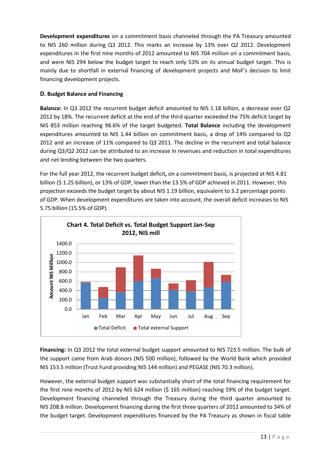**Development expenditures** on a commitment basis channeled through the PA Treasury amounted to NIS 260 million during Q3 2012. This marks an increase by 13% over Q2 2012. Development expenditures in the first nine months of 2012 amounted to NIS 704 million on a commitment basis, and were NIS 294 below the budget target to reach only 53% on its annual budget target. This is mainly due to shortfall in external financing of development projects and MoF's decision to limit financing development projects.

### **D. Budget Balance and Financing**

**Balance:** In Q3 2012 the recurrent budget deficit amounted to NIS 1.18 billion, a decrease over Q2 2012 by 18%. The recurrent deficit at the end of the third quarter exceeded the 75% deficit target by NIS 853 million reaching 98.6% of the target budgeted. **Total Balance** including the development expenditures amounted to NIS 1.44 billion on commitment basis, a drop of 14% compared to Q2 2012 and an increase of 11% compared to Q3 2011. The decline in the recurrent and total balance during Q3/Q2 2012 can be attributed to an increase in revenues and reduction in total expenditures and net lending between the two quarters.

For the full year 2012, the recurrent budget deficit**,** on a commitment basis, is projected at NIS 4.81 billion (\$ 1.25 billion), or 13% of GDP, lower than the 13.5% of GDP achieved in 2011. However, this projection exceeds the budget target by about NIS 1.19 billion, equivalent to 3.2 percentage points of GDP. When development expenditures are taken into account, the overall deficit increases to NIS 5.75 billion (15.5% of GDP).



**Financing:** In Q3 2012 the total external budget support amounted to NIS 723.5 million. The bulk of the support came from Arab donors (NIS 500 million), followed by the World Bank which provided NIS 153.5 million (Trust Fund providing NIS 144 million) and PEGASE (NIS 70.3 million).

However, the external budget support was substantially short of the total financing requirement for the first nine months of 2012 by NIS 624 million (\$ 165 million) reaching 59% of the budget target. Development financing channeled through the Treasury during the third quarter amounted to NIS 208.8 million. Development financing during the first three quarters of 2012 amounted to 34% of the budget target. Development expenditures financed by the PA Treasury as shown in fiscal table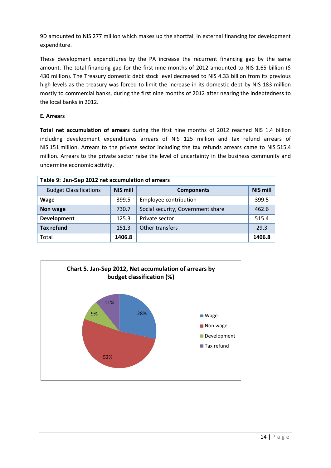9D amounted to NIS 277 million which makes up the shortfall in external financing for development expenditure.

These development expenditures by the PA increase the recurrent financing gap by the same amount. The total financing gap for the first nine months of 2012 amounted to NIS 1.65 billion (\$ 430 million). The Treasury domestic debt stock level decreased to NIS 4.33 billion from its previous high levels as the treasury was forced to limit the increase in its domestic debt by NIS 183 million mostly to commercial banks, during the first nine months of 2012 after nearing the indebtedness to the local banks in 2012.

#### **E. Arrears**

**Total net accumulation of arrears** during the first nine months of 2012 reached NIS 1.4 billion including development expenditures arrears of NIS 125 million and tax refund arrears of NIS 151 million. Arrears to the private sector including the tax refunds arrears came to NIS 515.4 million. Arrears to the private sector raise the level of uncertainty in the business community and undermine economic activity.

| Table 9: Jan-Sep 2012 net accumulation of arrears |                 |                                   |                 |  |  |  |
|---------------------------------------------------|-----------------|-----------------------------------|-----------------|--|--|--|
| <b>Budget Classifications</b>                     | <b>NIS mill</b> | <b>Components</b>                 | <b>NIS mill</b> |  |  |  |
| <b>Wage</b>                                       | 399.5           | Employee contribution             | 399.5           |  |  |  |
| Non wage                                          | 730.7           | Social security, Government share | 462.6           |  |  |  |
| <b>Development</b>                                | 125.3           | Private sector                    | 515.4           |  |  |  |
| <b>Tax refund</b>                                 | 151.3           | Other transfers                   | 29.3            |  |  |  |
| Total                                             | 1406.8          |                                   | 1406.8          |  |  |  |